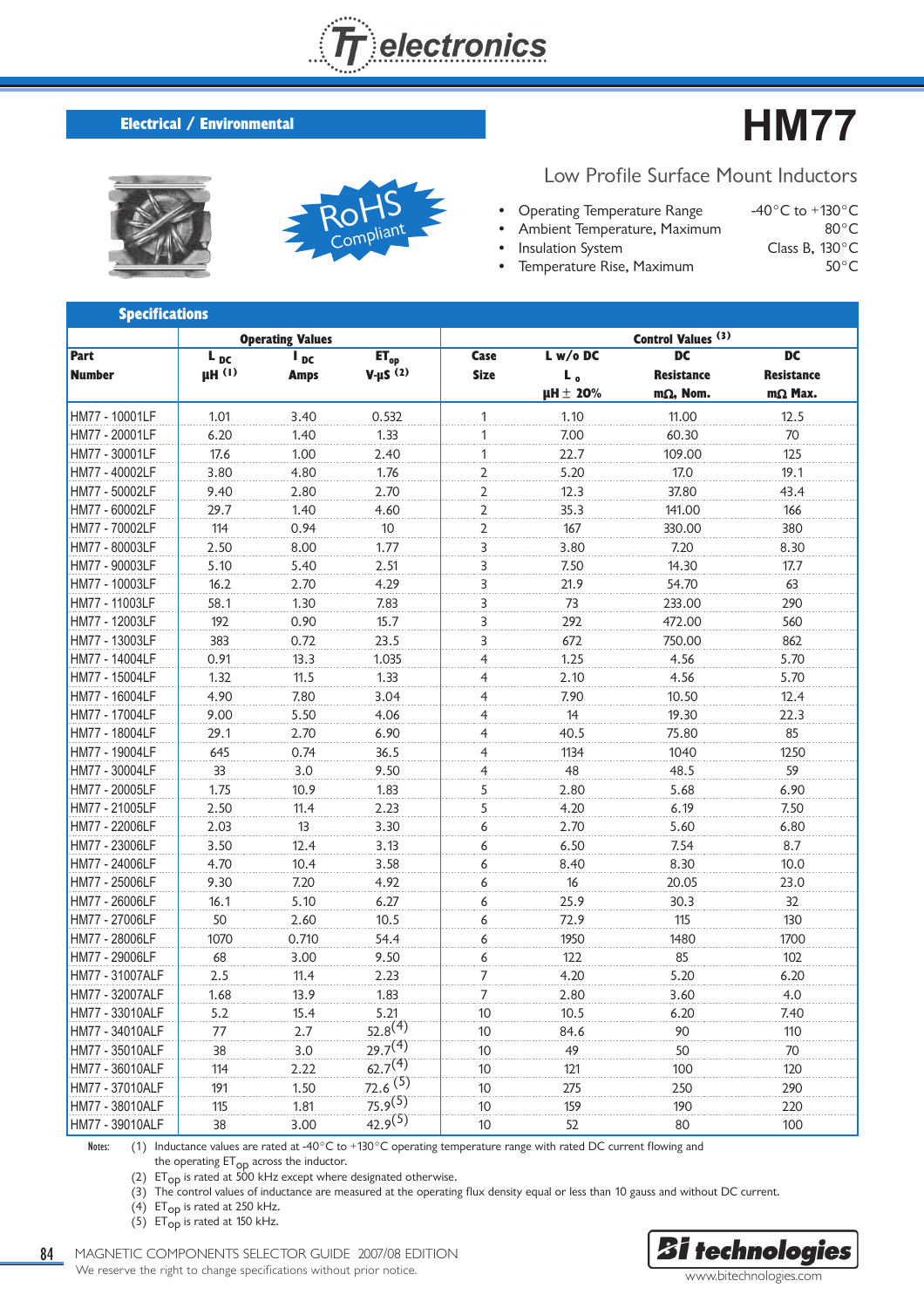

## **Electrical / Environmental**





Low Profile Surface Mount Inductors

- Operating Temperature Range  $-40^{\circ}$ C to +130 $^{\circ}$ C<br>Ambient Temperature, Maximum  $80^{\circ}$ C Ambient Temperature, Maximum • Insulation System Class B, 130°C
- Temperature Rise, Maximum 50°C

| <b>Specifications</b> |               |                          |                     |                |                   |                               |                   |
|-----------------------|---------------|--------------------------|---------------------|----------------|-------------------|-------------------------------|-------------------|
|                       |               | <b>Operating Values</b>  |                     |                |                   | Control Values <sup>(3)</sup> |                   |
| Part                  | $L_{DC}$      | $\mathbf{I}_{\text{DC}}$ | $ET_{op}$           | Case           | $L$ w/o DC        | <b>DC</b>                     | <b>DC</b>         |
| <b>Number</b>         | $\mu$ H $(1)$ | <b>Amps</b>              | $V-HS(2)$           | <b>Size</b>    | L.                | <b>Resistance</b>             | <b>Resistance</b> |
|                       |               |                          |                     |                | $\mu$ H $\pm$ 20% | $m\Omega$ , Nom.              | $m\Omega$ Max.    |
| HM77 - 10001LF        | 1.01          | 3.40                     | 0.532               | 1              | 1.10              | 11.00                         | 12.5              |
| HM77 - 20001LF        | 6.20          | 1.40                     | 1.33                | 1              | 7.00              | 60.30                         | 70                |
| HM77 - 30001LF        | 17.6          | 1.00                     | 2.40                | 1              | 22.7              | 109.00                        | 125               |
| HM77 - 40002LF        | 3.80          | 4.80                     | 1.76                | 2              | 5.20              | 17.0                          | 19.1              |
| HM77 - 50002LF        | 9.40          | 2.80                     | 2.70                | $\overline{2}$ | 12.3              | 37.80                         | 43.4              |
| HM77 - 60002LF        | 29.7          | 1.40                     | 4.60                | $\overline{2}$ | 35.3              | 141.00                        | 166               |
| HM77 - 70002LF        | 114           | 0.94                     | 10 <sup>°</sup>     | $\overline{2}$ | 167               | 330.00                        | 380               |
| HM77 - 80003LF        | 2.50          | 8.00                     | 1.77                | 3              | 3.80              | 7.20                          | 8.30              |
| HM77 - 90003LF        | 5.10          | 5.40                     | 2.51                | 3              | 7.50              | 14.30                         | 17.7              |
| HM77 - 10003LF        | 16.2          | 2.70                     | 4.29                | 3              | 21.9              | 54.70                         | 63                |
| HM77 - 11003LF        | 58.1          | 1.30                     | 7.83                | 3              | 73                | 233.00                        | 290               |
| HM77 - 12003LF        | 192           | 0.90                     | 15.7                | 3              | 292               | 472.00                        | 560               |
| HM77 - 13003LF        | 383           | 0.72                     | 23.5                | 3              | 672               | 750.00                        | 862               |
| HM77 - 14004LF        | 0.91          | 13.3                     | 1.035               | 4              | 1.25              | 4.56                          | 5.70              |
| HM77 - 15004LF        | 1.32          | 11.5                     | 1.33                | 4              | 2.10              | 4.56                          | 5.70              |
| HM77 - 16004LF        | 4.90          | 7.80                     | 3.04                | 4              | 7.90              | 10.50                         | 12.4              |
| HM77 - 17004LF        | 9.00          | 5.50                     | 4.06                | 4              | 14                | 19.30                         | 22.3              |
| HM77 - 18004LF        | 29.1          | 2.70                     | 6.90                | 4              | 40.5              | 75.80                         | 85                |
| HM77 - 19004LF        | 645           | 0.74                     | 36.5                | 4              | 1134              | 1040                          | 1250              |
| HM77 - 30004LF        | 33            | 3.0                      | 9.50                | 4              | 48                | 48.5                          | 59                |
| HM77 - 20005LF        | 1.75          | 10.9                     | 1.83                | 5              | 2.80              | 5.68                          | 6.90              |
| HM77 - 21005LF        | 2.50          | 11.4                     | 2.23                | 5              | 4.20              | 6.19                          | 7.50              |
| HM77 - 22006LF        | 2.03          | 13                       | 3.30                | 6              | 2.70              | 5.60                          | 6.80              |
| HM77 - 23006LF        | 3.50          | 12.4                     | 3.13                | 6              | 6.50              | 7.54                          | 8.7               |
| HM77 - 24006LF        | 4.70          | 10.4                     | 3.58                | 6              | 8.40              | 8.30                          | 10.0              |
| HM77 - 25006LF        | 9.30          | 7.20                     | 4.92                | 6              | 16                | 20.05                         | 23.0              |
| HM77 - 26006LF        | 16.1          | 5.10                     | 6.27                | 6              | 25.9              | 30.3                          | 32                |
| HM77 - 27006LF        | 50            | 2.60                     | 10.5                | 6              | 72.9              | 115                           | 130               |
| HM77 - 28006LF        | 1070          | 0.710                    | 54.4                | 6              | 1950              | 1480                          | 1700              |
| HM77 - 29006LF        | 68            | 3.00                     | 9.50                | 6              | 122               | 85                            | 102               |
| HM77 - 31007ALF       | 2.5           | 11.4                     | 2.23                | 7              | 4.20              | 5.20                          | 6.20              |
| HM77 - 32007ALF       | 1.68          | 13.9                     | 1.83                | 7              | 2.80              | 3.60                          | 4.0               |
| HM77 - 33010ALF       | 5.2           | 15.4                     | 5.21                | 10             | 10.5              | 6.20                          | 7.40              |
| HM77 - 34010ALF       | 77            | 2.7                      | $52.8^{(4)}$        | 10             | 84.6              | 90                            | 110               |
| HM77 - 35010ALF       | 38            | 3.0                      | 29.7 <sup>(4)</sup> | 10             | 49                | 50                            | 70                |
| HM77 - 36010ALF       | 114           | 2.22                     | 62.7 <sup>(4)</sup> | 10             | 121               | 100                           | 120               |
| HM77 - 37010ALF       | 191           | 1.50                     | 72.6 <sup>(5)</sup> | 10             | 275               | 250                           | 290               |
| HM77 - 38010ALF       | 115           | 1.81                     | $75.9^{(5)}$        | 10             | 159               | 190                           | 220               |
| HM77 - 39010ALF       | 38            | 3.00                     | $42.9^{(5)}$        | 10             | 52                | 80                            | 100               |

Notes: (1) Inductance values are rated at -40°C to +130°C operating temperature range with rated DC current flowing and

the operating ET<sub>OP</sub> across the inductor.

(2)  $ET_{OD}$  is rated at 500 kHz except where designated otherwise.

(3) The control values of inductance are measured at the operating flux density equal or less than 10 gauss and without DC current.

(4) ET<sub>op</sub> is rated at 250 kHz.

(5)  $ET_{op}$  is rated at 150 kHz.

84 MAGNETIC COMPONENTS SELECTOR GUIDE 2007/08 EDITION We reserve the right to change specifications without prior notice.

**Bi** technologies www.bitechnologies.com